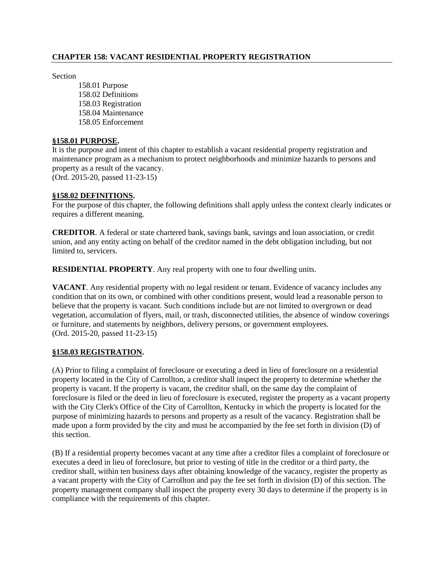### **CHAPTER 158: VACANT RESIDENTIAL PROPERTY REGISTRATION**

Section

158.01 Purpose 158.02 Definitions 158.03 Registration 158.04 Maintenance 158.05 Enforcement

# **§158.01 PURPOSE.**

It is the purpose and intent of this chapter to establish a vacant residential property registration and maintenance program as a mechanism to protect neighborhoods and minimize hazards to persons and property as a result of the vacancy. (Ord. 2015-20, passed 11-23-15)

#### **§158.02 DEFINITIONS.**

For the purpose of this chapter, the following definitions shall apply unless the context clearly indicates or requires a different meaning.

**CREDITOR**. A federal or state chartered bank, savings bank, savings and loan association, or credit union, and any entity acting on behalf of the creditor named in the debt obligation including, but not limited to, servicers.

**RESIDENTIAL PROPERTY**. Any real property with one to four dwelling units.

**VACANT**. Any residential property with no legal resident or tenant. Evidence of vacancy includes any condition that on its own, or combined with other conditions present, would lead a reasonable person to believe that the property is vacant. Such conditions include but are not limited to overgrown or dead vegetation, accumulation of flyers, mail, or trash, disconnected utilities, the absence of window coverings or furniture, and statements by neighbors, delivery persons, or government employees. (Ord. 2015-20, passed 11-23-15)

### **§158.03 REGISTRATION.**

(A) Prior to filing a complaint of foreclosure or executing a deed in lieu of foreclosure on a residential property located in the City of Carrollton, a creditor shall inspect the property to determine whether the property is vacant. If the property is vacant, the creditor shall, on the same day the complaint of foreclosure is filed or the deed in lieu of foreclosure is executed, register the property as a vacant property with the City Clerk's Office of the City of Carrollton, Kentucky in which the property is located for the purpose of minimizing hazards to persons and property as a result of the vacancy. Registration shall be made upon a form provided by the city and must be accompanied by the fee set forth in division (D) of this section.

(B) If a residential property becomes vacant at any time after a creditor files a complaint of foreclosure or executes a deed in lieu of foreclosure, but prior to vesting of title in the creditor or a third party, the creditor shall, within ten business days after obtaining knowledge of the vacancy, register the property as a vacant property with the City of Carrollton and pay the fee set forth in division (D) of this section. The property management company shall inspect the property every 30 days to determine if the property is in compliance with the requirements of this chapter.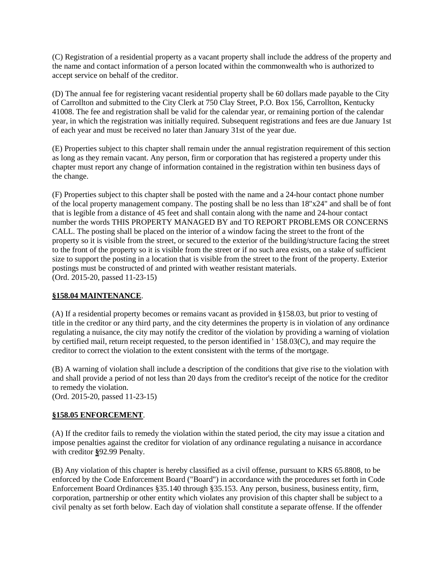(C) Registration of a residential property as a vacant property shall include the address of the property and the name and contact information of a person located within the commonwealth who is authorized to accept service on behalf of the creditor.

(D) The annual fee for registering vacant residential property shall be 60 dollars made payable to the City of Carrollton and submitted to the City Clerk at 750 Clay Street, P.O. Box 156, Carrollton, Kentucky 41008. The fee and registration shall be valid for the calendar year, or remaining portion of the calendar year, in which the registration was initially required. Subsequent registrations and fees are due January 1st of each year and must be received no later than January 31st of the year due.

(E) Properties subject to this chapter shall remain under the annual registration requirement of this section as long as they remain vacant. Any person, firm or corporation that has registered a property under this chapter must report any change of information contained in the registration within ten business days of the change.

(F) Properties subject to this chapter shall be posted with the name and a 24-hour contact phone number of the local property management company. The posting shall be no less than 18"x24" and shall be of font that is legible from a distance of 45 feet and shall contain along with the name and 24-hour contact number the words THIS PROPERTY MANAGED BY and TO REPORT PROBLEMS OR CONCERNS CALL. The posting shall be placed on the interior of a window facing the street to the front of the property so it is visible from the street, or secured to the exterior of the building/structure facing the street to the front of the property so it is visible from the street or if no such area exists, on a stake of sufficient size to support the posting in a location that is visible from the street to the front of the property. Exterior postings must be constructed of and printed with weather resistant materials. (Ord. 2015-20, passed 11-23-15)

# **§158.04 MAINTENANCE**.

(A) If a residential property becomes or remains vacant as provided in §158.03, but prior to vesting of title in the creditor or any third party, and the city determines the property is in violation of any ordinance regulating a nuisance, the city may notify the creditor of the violation by providing a warning of violation by certified mail, return receipt requested, to the person identified in ' 158.03(C), and may require the creditor to correct the violation to the extent consistent with the terms of the mortgage.

(B) A warning of violation shall include a description of the conditions that give rise to the violation with and shall provide a period of not less than 20 days from the creditor's receipt of the notice for the creditor to remedy the violation.

(Ord. 2015-20, passed 11-23-15)

# **§158.05 ENFORCEMENT**.

(A) If the creditor fails to remedy the violation within the stated period, the city may issue a citation and impose penalties against the creditor for violation of any ordinance regulating a nuisance in accordance with creditor **§**92.99 Penalty.

(B) Any violation of this chapter is hereby classified as a civil offense, pursuant to KRS 65.8808, to be enforced by the Code Enforcement Board ("Board") in accordance with the procedures set forth in Code Enforcement Board Ordinances §35.140 through §35.153. Any person, business, business entity, firm, corporation, partnership or other entity which violates any provision of this chapter shall be subject to a civil penalty as set forth below. Each day of violation shall constitute a separate offense. If the offender